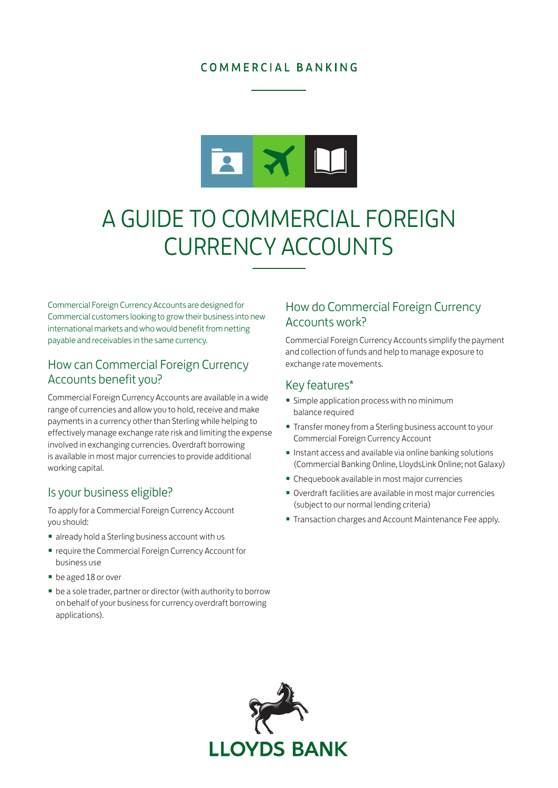## COMMERCIAL BANKING



# A GUIDE TO COMMERCIAL FOREIGN CURRENCY ACCOUNTS

Commercial Foreign Currency Accounts are designed for Commercial customers looking to grow their business into new international markets and who would benefit from netting payable and receivables in the same currency.

## How can Commercial Foreign Currency Accounts benefit you?

Commercial Foreign Currency Accounts are available in a wide range of currencies and allow you to hold, receive and make payments in a currency other than Sterling while helping to effectively manage exchange rate risk and limiting the expense involved in exchanging currencies. Overdraft borrowing is available in most major currencies to provide additional working capital.

#### Is your business eligible?

To apply for a Commercial Foreign Currency Account you should:

- already hold a Sterling business account with us
- require the Commercial Foreign Currency Account for business use
- be aged 18 or over
- be a sole trader, partner or director (with authority to borrow on behalf of your business for currency overdraft borrowing applications).

## How do Commercial Foreign Currency Accounts work?

Commercial Foreign Currency Accounts simplify the payment and collection of funds and help to manage exposure to exchange rate movements.

## Key features\*

- Simple application process with no minimum balance required
- Transfer money from a Sterling business account to your Commercial Foreign Currency Account
- Instant access and available via online banking solutions (Commercial Banking Online, LloydsLink Online; not Galaxy)
- Chequebook available in most major currencies
- Overdraft facilities are available in most major currencies (subject to our normal lending criteria)
- Transaction charges and Account Maintenance Fee apply.